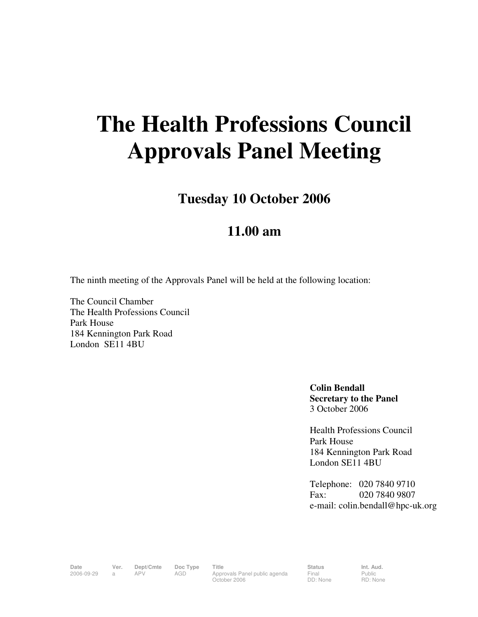## **The Health Professions Council Approvals Panel Meeting**

**Tuesday 10 October 2006** 

## **11.00 am**

The ninth meeting of the Approvals Panel will be held at the following location:

The Council Chamber The Health Professions Council Park House 184 Kennington Park Road London SE11 4BU

> **Colin Bendall Secretary to the Panel**  3 October 2006

Health Professions Council Park House 184 Kennington Park Road London SE11 4BU

Telephone: 020 7840 9710 Fax: 020 7840 9807 e-mail: colin.bendall@hpc-uk.org

Date Ver. Dept/Cmte Doc<sup>Type</sup> Title **Status** Status Int. Aud. 2006-09-29 a APV AGD Approvals Panel public agenda October 2006

Final DD: None Public RD: None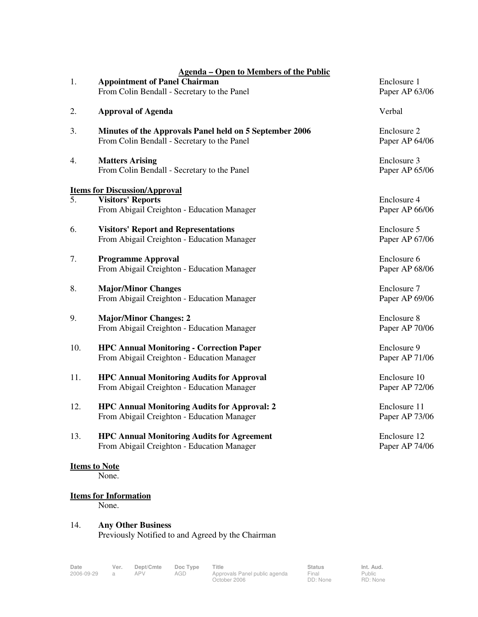| 1.  | <b>Agenda – Open to Members of the Public</b><br><b>Appointment of Panel Chairman</b><br>From Colin Bendall - Secretary to the Panel | Enclosure 1<br>Paper AP 63/06  |
|-----|--------------------------------------------------------------------------------------------------------------------------------------|--------------------------------|
| 2.  | <b>Approval of Agenda</b>                                                                                                            | Verbal                         |
| 3.  | Minutes of the Approvals Panel held on 5 September 2006<br>From Colin Bendall - Secretary to the Panel                               | Enclosure 2<br>Paper AP 64/06  |
| 4.  | <b>Matters Arising</b><br>From Colin Bendall - Secretary to the Panel                                                                | Enclosure 3<br>Paper AP 65/06  |
|     | <b>Items for Discussion/Approval</b>                                                                                                 |                                |
| 5.  | <b>Visitors' Reports</b><br>From Abigail Creighton - Education Manager                                                               | Enclosure 4<br>Paper AP 66/06  |
| 6.  | <b>Visitors' Report and Representations</b><br>From Abigail Creighton - Education Manager                                            | Enclosure 5<br>Paper AP 67/06  |
| 7.  | <b>Programme Approval</b><br>From Abigail Creighton - Education Manager                                                              | Enclosure 6<br>Paper AP 68/06  |
| 8.  | <b>Major/Minor Changes</b><br>From Abigail Creighton - Education Manager                                                             | Enclosure 7<br>Paper AP 69/06  |
| 9.  | <b>Major/Minor Changes: 2</b><br>From Abigail Creighton - Education Manager                                                          | Enclosure 8<br>Paper AP 70/06  |
| 10. | <b>HPC Annual Monitoring - Correction Paper</b><br>From Abigail Creighton - Education Manager                                        | Enclosure 9<br>Paper AP 71/06  |
| 11. | <b>HPC Annual Monitoring Audits for Approval</b><br>From Abigail Creighton - Education Manager                                       | Enclosure 10<br>Paper AP 72/06 |
| 12. | <b>HPC Annual Monitoring Audits for Approval: 2</b><br>From Abigail Creighton - Education Manager                                    | Enclosure 11<br>Paper AP 73/06 |
| 13. | <b>HPC Annual Monitoring Audits for Agreement</b><br>From Abigail Creighton - Education Manager                                      | Enclosure 12<br>Paper AP 74/06 |
|     | <b>Items to Note</b><br>None.                                                                                                        |                                |
|     | <b>Items for Information</b><br>None.                                                                                                |                                |
|     |                                                                                                                                      |                                |

## 14. **Any Other Business**  Previously Notified to and Agreed by the Chairman

October 2006

Final DD: None Public RD: None